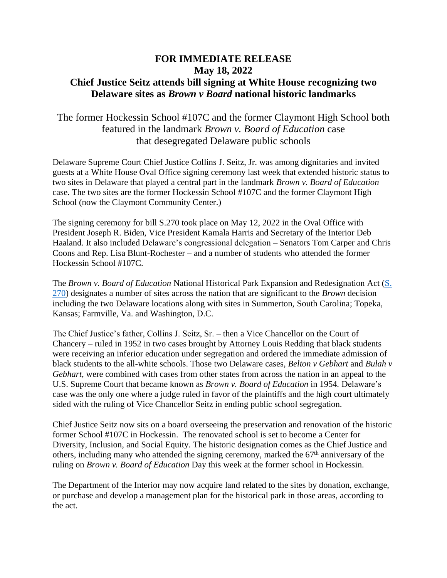## **FOR IMMEDIATE RELEASE May 18, 2022 Chief Justice Seitz attends bill signing at White House recognizing two Delaware sites as** *Brown v Board* **national historic landmarks**

## The former Hockessin School #107C and the former Claymont High School both featured in the landmark *Brown v. Board of Education* case that desegregated Delaware public schools

Delaware Supreme Court Chief Justice Collins J. Seitz, Jr. was among dignitaries and invited guests at a White House Oval Office signing ceremony last week that extended historic status to two sites in Delaware that played a central part in the landmark *Brown v. Board of Education*  case. The two sites are the former Hockessin School #107C and the former Claymont High School (now the Claymont Community Center.)

The signing ceremony for bill S.270 took place on May 12, 2022 in the Oval Office with President Joseph R. Biden, Vice President Kamala Harris and Secretary of the Interior Deb Haaland. It also included Delaware's congressional delegation – Senators Tom Carper and Chris Coons and Rep. Lisa Blunt-Rochester – and a number of students who attended the former Hockessin School #107C.

The *Brown v. Board of Education* National Historical Park Expansion and Redesignation Act [\(S.](https://www.congress.gov/bill/117th-congress/senate-bill/270)  [270\)](https://www.congress.gov/bill/117th-congress/senate-bill/270) designates a number of sites across the nation that are significant to the *Brown* decision including the two Delaware locations along with sites in Summerton, South Carolina; Topeka, Kansas; Farmville, Va. and Washington, D.C.

The Chief Justice's father, Collins J. Seitz, Sr. – then a Vice Chancellor on the Court of Chancery – ruled in 1952 in two cases brought by Attorney Louis Redding that black students were receiving an inferior education under segregation and ordered the immediate admission of black students to the all-white schools. Those two Delaware cases, *Belton v Gebhart* and *Bulah v Gebhart*, were combined with cases from other states from across the nation in an appeal to the U.S. Supreme Court that became known as *Brown v. Board of Education* in 1954*.* Delaware's case was the only one where a judge ruled in favor of the plaintiffs and the high court ultimately sided with the ruling of Vice Chancellor Seitz in ending public school segregation.

Chief Justice Seitz now sits on a board overseeing the preservation and renovation of the historic former School #107C in Hockessin. The renovated school is set to become a Center for Diversity, Inclusion, and Social Equity. The historic designation comes as the Chief Justice and others, including many who attended the signing ceremony, marked the 67th anniversary of the ruling on *Brown v. Board of Education* Day this week at the former school in Hockessin.

The Department of the Interior may now acquire land related to the sites by donation, exchange, or purchase and develop a management plan for the historical park in those areas, according to the act.